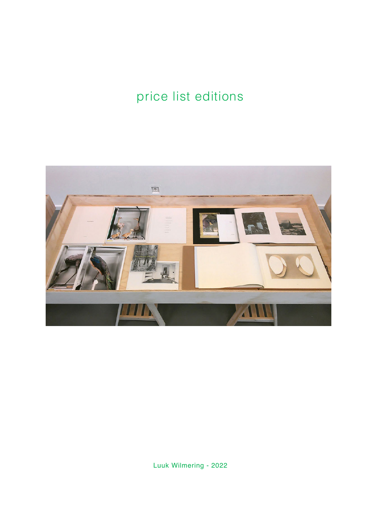# price list editions



Luuk Wilmering - 2022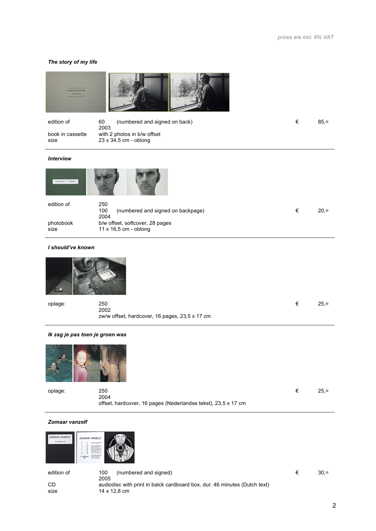# *The story of my life*

| <b><i>UNLINE ON MY LIFE</i></b><br><b>AND ARTISTS</b> |                                                         |   |         |
|-------------------------------------------------------|---------------------------------------------------------|---|---------|
| edition of                                            | 60<br>(numbered and signed on back)                     | € | $85, =$ |
| book in cassette                                      | 2003<br>with 2 photos in b/w offset                     |   |         |
| size                                                  | 23 x 34,5 cm - oblong                                   |   |         |
| <b>Interview</b>                                      |                                                         |   |         |
| <b>Luca Wilmiertow</b><br>televie                     |                                                         |   |         |
| edition of                                            | 250<br>100<br>(numbered and signed on backpage)<br>2004 | € | $20, =$ |
| photobook                                             | b/w offset, softcover, 28 pages                         |   |         |
| size                                                  | 11 x 16,5 cm - oblong                                   |   |         |
| I should've known                                     |                                                         |   |         |



| oplage: | 250                                            | $25 =$ |
|---------|------------------------------------------------|--------|
|         | 2002                                           |        |
|         | zw/w offset, hardcover, 16 pages, 23,5 x 17 cm |        |

 $\_$  , and the state of the state of the state of the state of the state of the state of the state of the state of the state of the state of the state of the state of the state of the state of the state of the state of the

# *Ik zag je pas toen je groen was*



| oplage: | 250                                                           | $25. =$ |
|---------|---------------------------------------------------------------|---------|
|         | 2004                                                          |         |
|         | offset, hardcover, 16 pages (Nederlandse tekst), 23,5 x 17 cm |         |

# *Zomaar vanzelf*



edition of 100 (numbered and signed)  $\epsilon$  30,= CD 2005<br>CD audio audiodisc with print in balck cardboard box, dur. 46 minutes (Dutch text) size 14 x 12,8 cm

 $\_$  , and the set of the set of the set of the set of the set of the set of the set of the set of the set of the set of the set of the set of the set of the set of the set of the set of the set of the set of the set of th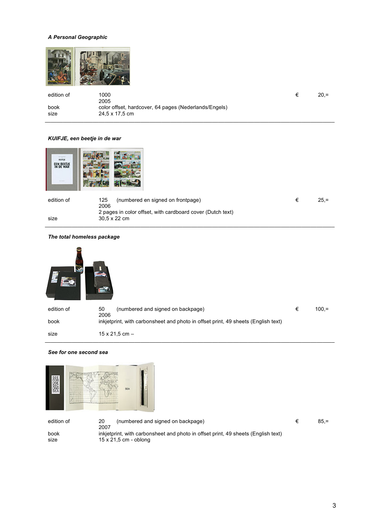# *A Personal Geographic*



| edition of   | 1000<br>2005                                                            | $20. =$ |
|--------------|-------------------------------------------------------------------------|---------|
| book<br>size | color offset, hardcover, 64 pages (Nederlands/Engels)<br>24.5 x 17.5 cm |         |

#### *KUIFJE, een beetje in de war*

| coint<br>EEN BEETJE<br><b>College</b> |                                                                            |   |         |
|---------------------------------------|----------------------------------------------------------------------------|---|---------|
| edition of                            | (numbered en signed on frontpage)<br>125<br>2006                           | € | $25, =$ |
| size                                  | 2 pages in color offset, with cardboard cover (Dutch text)<br>30,5 x 22 cm |   |         |

 $\_$  , and the set of the set of the set of the set of the set of the set of the set of the set of the set of the set of the set of the set of the set of the set of the set of the set of the set of the set of the set of th

#### *The total homeless package*



#### *See for one second sea*



edition of 20 (numbered and signed on backpage)  $\epsilon$  85,= 2007 inkjetprint, with carbonsheet and photo in offset print, 49 sheets (English text) size 15 x 21,5 cm - oblong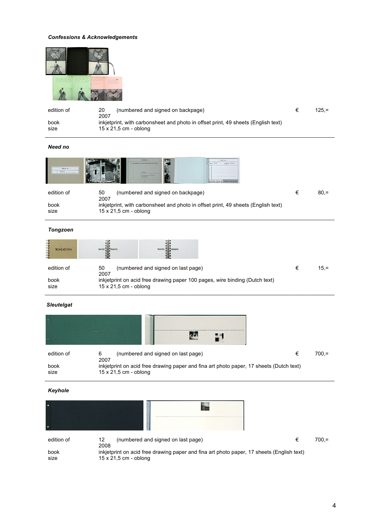# *Confessions & Acknowledgements*



| edition of   | 20<br>(numbered and signed on backpage)<br>2007                                                                   | $125 =$ |
|--------------|-------------------------------------------------------------------------------------------------------------------|---------|
| book<br>size | inkietprint, with carbonsheet and photo in offset print, 49 sheets (English text)<br>$15 \times 21.5$ cm - oblong |         |

# *Need no*

| $-$ Need no<br><b>BOX8188</b><br><b>WASSET CONSULTANTIES</b> | <b>New Ave.</b><br>花布<br>$-$ Nordland $-$<br>atmos trains<br>the performed before the top the form and some the winter station is<br>diama area<br><b>BUNNING</b><br>MODERN CONSULTANCIES<br>--<br><b>Art &amp; McMaring Million Memorie</b><br><b><i>Britain Miles Inc.</i></b><br>FIRST RESIDENCE<br>In action and<br><b>Early to the New York Commission Library</b><br>The boundaries and post-bond the T<br>alleged built by the facts assign<br>affordable that analysis will after |   |        |
|--------------------------------------------------------------|-------------------------------------------------------------------------------------------------------------------------------------------------------------------------------------------------------------------------------------------------------------------------------------------------------------------------------------------------------------------------------------------------------------------------------------------------------------------------------------------|---|--------|
| edition of                                                   | 50<br>(numbered and signed on backpage)<br>2007                                                                                                                                                                                                                                                                                                                                                                                                                                           | € | $80 =$ |
| book                                                         | inkjetprint, with carbonsheet and photo in offset print, 49 sheets (English text)                                                                                                                                                                                                                                                                                                                                                                                                         |   |        |
| size                                                         | $15 \times 21,5$ cm - oblong                                                                                                                                                                                                                                                                                                                                                                                                                                                              |   |        |
|                                                              |                                                                                                                                                                                                                                                                                                                                                                                                                                                                                           |   |        |
| Tongzoen                                                     |                                                                                                                                                                                                                                                                                                                                                                                                                                                                                           |   |        |

| ₹<br><b>TONGZOEN</b><br>3 | wond <b>Will koorts</b><br>koorts that droom                                |        |
|---------------------------|-----------------------------------------------------------------------------|--------|
| edition of                | 50<br>(numbered and signed on last page)<br>2007                            | $15 =$ |
| book                      | inkjetprint on acid free drawing paper 100 pages, wire binding (Dutch text) |        |
| size                      | $15 \times 21.5$ cm - oblong                                                |        |

# *Sleutelgat*

|              | <b>ZO</b>                                                                                                               |   |         |
|--------------|-------------------------------------------------------------------------------------------------------------------------|---|---------|
| edition of   | (numbered and signed on last page)<br>6<br>2007                                                                         | € | $700 =$ |
| book<br>size | inkjetprint on acid free drawing paper and fina art photo paper, 17 sheets (Dutch text)<br>$15 \times 21,5$ cm - oblong |   |         |

# *Keyhole*

| ٠            |                                                                                                                    |   |         |
|--------------|--------------------------------------------------------------------------------------------------------------------|---|---------|
|              |                                                                                                                    |   |         |
| edition of   | 12<br>(numbered and signed on last page)<br>2008                                                                   | € | $700 =$ |
| book<br>size | inkjetprint on acid free drawing paper and fina art photo paper, 17 sheets (English text)<br>15 x 21,5 cm - oblong |   |         |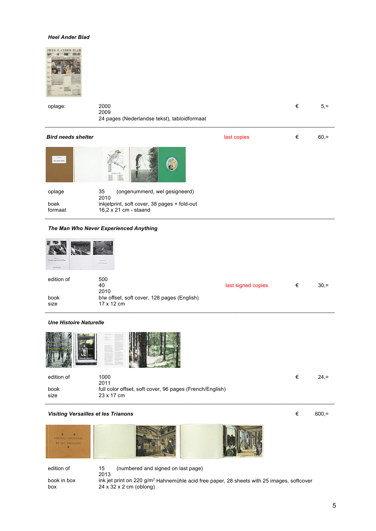#### *Heel Ander Blad*



| oplage:                                     | 2000<br>2009<br>24 pages (Nederlandse tekst), tabloidformaat                                                                |             | € | $5, =$  |
|---------------------------------------------|-----------------------------------------------------------------------------------------------------------------------------|-------------|---|---------|
| <b>Bird needs shelter</b>                   |                                                                                                                             | last copies | € | $60, =$ |
| <b>Let Mining</b><br><b>Gri noch shelte</b> |                                                                                                                             |             |   |         |
| oplage<br>boek<br>formaat                   | 35<br>(ongenummerd, wel gesigneerd)<br>2010<br>inkjetprint, soft cover, 38 pages + fold-out<br>$16.2 \times 21$ cm - staand |             |   |         |

#### *The Man Who Never Experienced Anything*

| who never experienced scretting | <b>Arizonto Mine</b><br>Anathrapology       |                    |   |
|---------------------------------|---------------------------------------------|--------------------|---|
|                                 | -                                           |                    |   |
| edition of                      | 500                                         |                    |   |
|                                 | 40                                          | last signed copies | € |
|                                 | 2010                                        |                    |   |
|                                 | b/w offset, soft cover, 128 pages (English) |                    |   |
|                                 | 17 x 12 cm                                  |                    |   |

 $\_$  , and the set of the set of the set of the set of the set of the set of the set of the set of the set of the set of the set of the set of the set of the set of the set of the set of the set of the set of the set of th

#### *Une Histoire Naturelle*



| edition of | 1000                                                     | $24. =$ |
|------------|----------------------------------------------------------|---------|
|            | 2011                                                     |         |
| book       | full color offset, soft cover, 96 pages (French/English) |         |
| size       | 23 x 17 cm                                               |         |
|            |                                                          |         |

# **Visiting Versailles et les Trianons €** 600,=



edition of 15 (numbered and signed on last page) 2013

book in box ink jet print on 220 g/m<sup>2</sup> Hahnemühle acid free paper, 28 sheets with 25 images, softcover box  $24 \times 32 \times 2$  cm (oblong)  $24 \times 32 \times 2$  cm (oblong)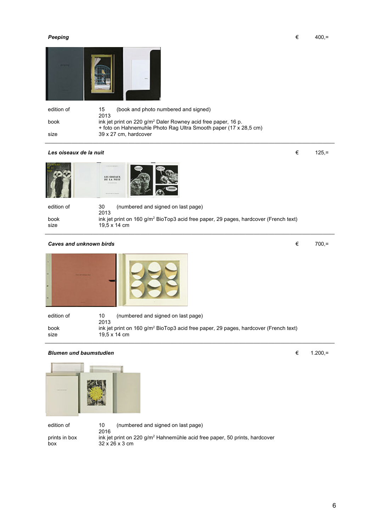

| edition of | (book and photo numbered and signed)<br>15                       |
|------------|------------------------------------------------------------------|
|            | 2013                                                             |
| book       | ink jet print on 220 $g/m^2$ Daler Rowney acid free paper, 16 p. |
|            | + foto on Hahnemuhle Photo Rag Ultra Smooth paper (17 x 28,5 cm) |
| size       | 39 x 27 cm, hardcover                                            |
|            |                                                                  |

(numbered and signed on last page)

ink jet print on 160 g/m<sup>2</sup> BioTop3 acid free paper, 29 pages, hardcover (French text)

 $\_$  , and the state of the state of the state of the state of the state of the state of the state of the state of the state of the state of the state of the state of the state of the state of the state of the state of the

# *Les oiseaux de la nuit* € 125,=





| edition of | (numl<br>30      |
|------------|------------------|
|            | 2013             |
| book       | ink jet print or |
| size       | 19.5 x 14 cm     |

#### *Caves and unknown birds* € 700,=



| edition of | (numbered and signed on last page)<br>10<br>2013                                                 |
|------------|--------------------------------------------------------------------------------------------------|
| book       | ink jet print on 160 g/m <sup>2</sup> BioTop3 acid free paper, 29 pages, hardcover (French text) |
| size       | 19.5 $\times$ 14 cm                                                                              |

# *Blumen und baumstudien* ■ 1.200,=



edition of 10 (numbered and signed on last page) 2016 prints in box ink jet print on 220 g/m<sup>2</sup> Hahnemühle acid free paper, 50 prints, hardcover box 32 x 26 x 3 cm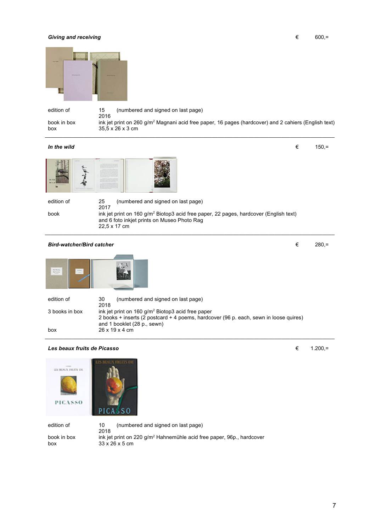#### **Giving and receiving**  $\epsilon$  600,=



edition of 15 (numbered and signed on last page)

2016

book in box ink jet print on 260 g/m<sup>2</sup> Magnani acid free paper, 16 pages (hardcover) and 2 cahiers (English text) box 35,5 x 26 x 3 cm  $\_$  , and the state of the state of the state of the state of the state of the state of the state of the state of the state of the state of the state of the state of the state of the state of the state of the state of the

#### *In the wild*  $\epsilon$  150,=



edition of 25 (numbered and signed on last page) 2017 book ink jet print on 160 g/m<sup>2</sup> Biotop3 acid free paper, 22 pages, hardcover (English text) and 6 foto inkjet prints on Museo Photo Rag 22,5 x 17 cm

 $\_$  , and the set of the set of the set of the set of the set of the set of the set of the set of the set of the set of the set of the set of the set of the set of the set of the set of the set of the set of the set of th

*Bird-watcher/Bird catcher* and the contract extending to the contract extending to the 280,=



| edition of     | 30<br>(numbered and signed on last page)<br>2018                                                                     |
|----------------|----------------------------------------------------------------------------------------------------------------------|
| 3 books in box | ink jet print on $160$ g/m <sup>2</sup> Biotop3 acid free paper                                                      |
|                | 2 books + inserts (2 postcard + 4 poems, hardcover (96 p. each, sewn in loose quires)<br>and 1 booklet (28 p., sewn) |
| box            | $26 \times 19 \times 4$ cm                                                                                           |

# *Les beaux fruits de Picasso* € 1.200,=



edition of 10 (numbered and signed on last page) 2018 book in box ink jet print on 220 g/m<sup>2</sup> Hahnemühle acid free paper, 96p., hardcover box 33 x 26 x 5 cm

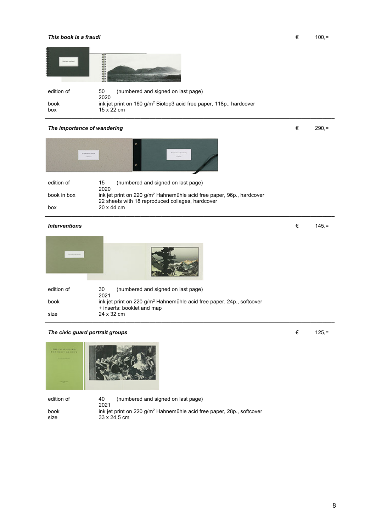#### *This book is a fraud!*  $\epsilon$  100,=



| edition of | (numbered and signed on last page)<br>50<br>2020                                |
|------------|---------------------------------------------------------------------------------|
| book       | ink jet print on 160 g/m <sup>2</sup> Biotop3 acid free paper, 118p., hardcover |
| box        | 15 x 22 cm                                                                      |

# The importance of wandering  $\epsilon$  290,=



| edition of  | (numbered and signed on last page)<br>15                                          |
|-------------|-----------------------------------------------------------------------------------|
|             | 2020                                                                              |
| book in box | ink jet print on 220 g/m <sup>2</sup> Hahnemühle acid free paper, 96p., hardcover |
|             | 22 sheets with 18 reproduced collages, hardcover                                  |
| box         | 20 x 44 cm                                                                        |
|             |                                                                                   |

# $\in$  *145,=*

| <b>CALL &amp; R. E. TATION</b> |                                                                                                                 |
|--------------------------------|-----------------------------------------------------------------------------------------------------------------|
| edition of                     | 30<br>(numbered and signed on last page)<br>2021                                                                |
| book                           | ink jet print on 220 g/m <sup>2</sup> Hahnemühle acid free paper, 24p., softcover<br>+ inserts: booklet and map |
| size                           | 24 x 32 cm                                                                                                      |

# The civic guard portrait groups  $\epsilon$  125,=



edition of **40** (numbered and signed on last page) 2021 book ink jet print on 220 g/m<sup>2</sup> Hahnemühle acid free paper, 28p., softcover size 33 x 24,5 cm